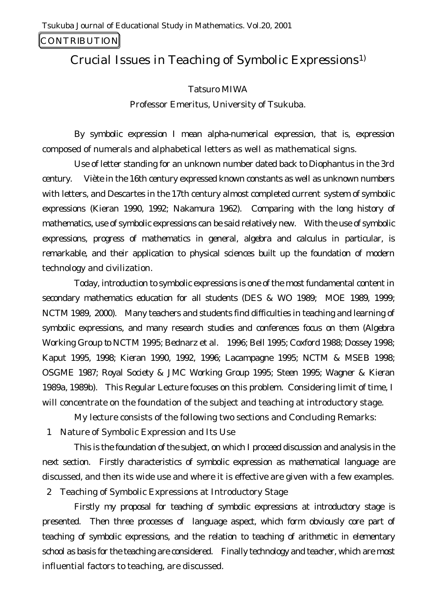# CONTRIBUTION

# Crucial Issues in Teaching of Symbolic Expressions1)

# Tatsuro MIWA

Professor Emeritus, University of Tsukuba.

By symbolic expression I mean alpha-numerical expression, that is, expression composed of numerals and alphabetical letters as well as mathematical signs.

Use of letter standing for an unknown number dated back to Diophantus in the 3rd century. Viète in the 16th century expressed known constants as well as unknown numbers with letters, and Descartes in the 17th century almost completed current system of symbolic expressions (Kieran 1990, 1992; Nakamura 1962). Comparing with the long history of mathematics, use of symbolic expressions can be said relatively new. With the use of symbolic expressions, progress of mathematics in general, algebra and calculus in particular, is remarkable, and their application to physical sciences built up the foundation of modern technology and civilization.

Today, introduction to symbolic expressions is one of the most fundamental content in secondary mathematics education for all students (DES & WO 1989; MOE 1989, 1999; NCTM 1989, 2000). Many teachers and students find difficulties in teaching and learning of symbolic expressions, and many research studies and conferences focus on them (Algebra Working Group to NCTM 1995; Bednarz et al. 1996; Bell 1995; Coxford 1988; Dossey 1998; Kaput 1995, 1998; Kieran 1990, 1992, 1996; Lacampagne 1995; NCTM & MSEB 1998; OSGME 1987; Royal Society & JMC Working Group 1995; Steen 1995; Wagner & Kieran 1989a, 1989b). This Regular Lecture focuses on this problem. Considering limit of time, I will concentrate on the foundation of the subject and teaching at introductory stage.

My lecture consists of the following two sections and Concluding Remarks:

1 Nature of Symbolic Expression and Its Use

This is the foundation of the subject, on which I proceed discussion and analysis in the next section. Firstly characteristics of symbolic expression as mathematical language are discussed, and then its wide use and where it is effective are given with a few examples.

2 Teaching of Symbolic Expressions at Introductory Stage

Firstly my proposal for teaching of symbolic expressions at introductory stage is presented. Then three processes of language aspect, which form obviously core part of teaching of symbolic expressions, and the relation to teaching of arithmetic in elementary school as basis for the teaching are considered. Finally technology and teacher, which are most influential factors to teaching, are discussed.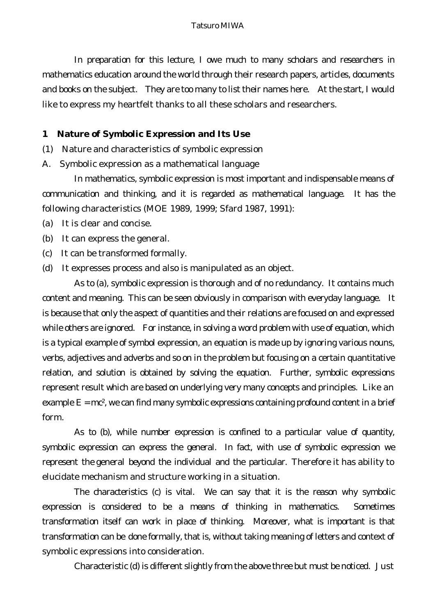#### Tatsuro MIWA

In preparation for this lecture, I owe much to many scholars and researchers in mathematics education around the world through their research papers, articles, documents and books on the subject. They are too many to list their names here. At the start, I would like to express my heartfelt thanks to all these scholars and researchers.

# **1 Nature of Symbolic Expression and Its Use**

- (1) Nature and characteristics of symbolic expression
- A. Symbolic expression as a mathematical language

In mathematics, symbolic expression is most important and indispensable means of communication and thinking, and it is regarded as mathematical language. It has the following characteristics (MOE 1989, 1999; Sfard 1987, 1991):

- (a) It is clear and concise.
- (b) It can express the general.
- (c) It can be transformed formally.
- (d) It expresses process and also is manipulated as an object.

As to (a), symbolic expression is thorough and of no redundancy. It contains much content and meaning. This can be seen obviously in comparison with everyday language. It is because that only the aspect of quantities and their relations are focused on and expressed while others are ignored. For instance, in solving a word problem with use of equation, which is a typical example of symbol expression, an equation is made up by ignoring various nouns, verbs, adjectives and adverbs and so on in the problem but focusing on a certain quantitative relation, and solution is obtained by solving the equation. Further, symbolic expressions represent result which are based on underlying very many concepts and principles. Like an example  $E = mc^2$ , we can find many symbolic expressions containing profound content in a brief form.

As to (b), while number expression is confined to a particular value of quantity, symbolic expression can express the general. In fact, with use of symbolic expression we represent the general beyond the individual and the particular. Therefore it has ability to elucidate mechanism and structure working in a situation.

The characteristics (c) is vital. We can say that it is the reason why symbolic expression is considered to be a means of thinking in mathematics. Sometimes transformation itself can work in place of thinking. Moreover, what is important is that transformation can be done formally, that is, without taking meaning of letters and context of symbolic expressions into consideration.

Characteristic (d) is different slightly from the above three but must be noticed. Just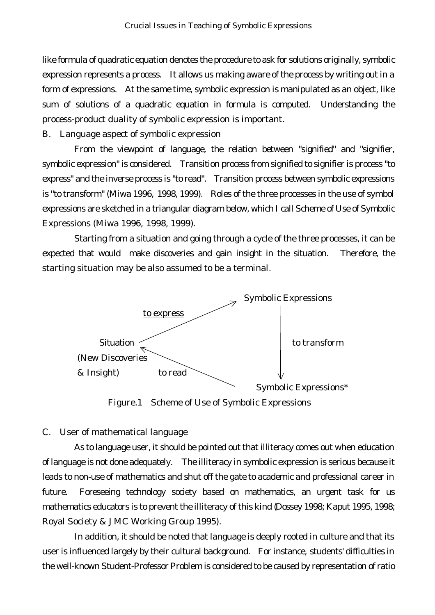like formula of quadratic equation denotes the procedure to ask for solutions originally, symbolic expression represents a process. It allows us making aware of the process by writing out in a form of expressions. At the same time, symbolic expression is manipulated as an object, like sum of solutions of a quadratic equation in formula is computed. Understanding the process-product duality of symbolic expression is important.

B. Language aspect of symbolic expression

From the viewpoint of language, the relation between "signified" and "signifier, symbolic expression" is considered. Transition process from signified to signifier is process "to express" and the inverse process is "to read". Transition process between symbolic expressions is "to transform" (Miwa 1996, 1998, 1999). Roles of the three processes in the use of symbol expressions are sketched in a triangular diagram below, which I call Scheme of Use of Symbolic Expressions (Miwa 1996, 1998, 1999).

Starting from a situation and going through a cycle of the three processes, it can be expected that would make discoveries and gain insight in the situation. Therefore, the starting situation may be also assumed to be a terminal.



Figure.1 Scheme of Use of Symbolic Expressions

## C. User of mathematical language

As to language user, it should be pointed out that illiteracy comes out when education of language is not done adequately. The illiteracy in symbolic expression is serious because it leads to non-use of mathematics and shut off the gate to academic and professional career in future. Foreseeing technology society based on mathematics, an urgent task for us mathematics educators is to prevent the illiteracy of this kind (Dossey 1998; Kaput 1995, 1998; Royal Society & JMC Working Group 1995).

In addition, it should be noted that language is deeply rooted in culture and that its user is influenced largely by their cultural background. For instance, students' difficulties in the well-known Student-Professor Problem is considered to be caused by representation of ratio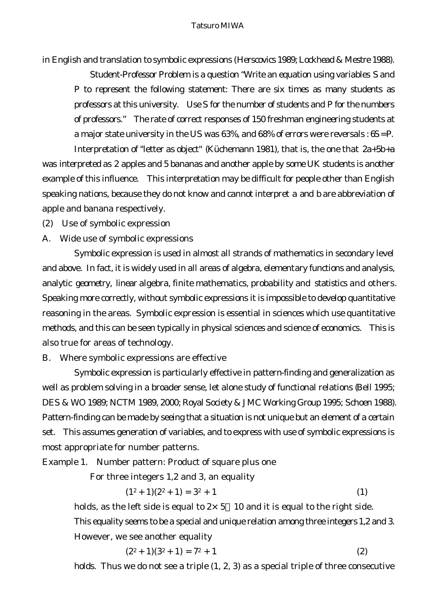in English and translation to symbolic expressions (Herscovics 1989; Lockhead & Mestre 1988).

Student-Professor Problem is a question "Write an equation using variables *S* and *P* to represent the following statement: There are six times as many students as professors at this university. Use *S* for the number of students and *P* for the numbers of professors." The rate of correct responses of 150 freshman engineering students at a major state university in the US was 63%, and 68% of errors were reversals : *6S = P.*

Interpretation of "letter as object" (Küchemann 1981), that is, the one that *2a+5b+a* was interpreted as 2 apples and 5 bananas and another apple by some UK students is another example of this influence. This interpretation may be difficult for people other than English speaking nations, because they do not know and cannot interpret *a* and *b* are abbreviation of apple and banana respectively.

- (2) Use of symbolic expression
- A. Wide use of symbolic expressions

Symbolic expression is used in almost all strands of mathematics in secondary level and above. In fact, it is widely used in all areas of algebra, elementary functions and analysis, analytic geometry, linear algebra, finite mathematics, probability and statistics and others. Speaking more correctly, without symbolic expressions it is impossible to develop quantitative reasoning in the areas. Symbolic expression is essential in sciences which use quantitative methods, and this can be seen typically in physical sciences and science of economics. This is also true for areas of technology.

# B. Where symbolic expressions are effective

Symbolic expression is particularly effective in pattern-finding and generalization as well as problem solving in a broader sense, let alone study of functional relations (Bell 1995; DES & WO 1989; NCTM 1989, 2000; Royal Society & JMC Working Group 1995; Schoen 1988). Pattern-finding can be made by seeing that a situation is not unique but an element of a certain set. This assumes generation of variables, and to express with use of symbolic expressions is most appropriate for number patterns.

Example 1. Number pattern: Product of square plus one

For three integers 1,2 and 3, an equality

$$
(12 + 1)(22 + 1) = 32 + 1
$$
 (1)

holds, as the left side is equal to  $2 \times 5$  *10* and it is equal to the right side. This equality seems to be a special and unique relation among three integers 1,2 and 3. However, we see another equality

$$
(22 + 1)(32 + 1) = 72 + 1
$$
 (2)

holds. Thus we do not see a triple (1, 2, 3) as a special triple of three consecutive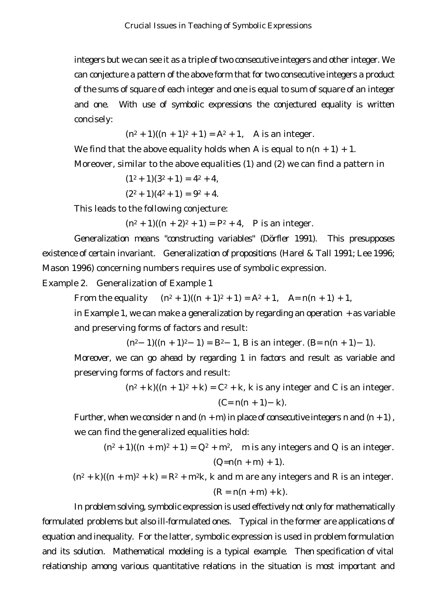integers but we can see it as a triple of two consecutive integers and other integer. We can conjecture a pattern of the above form that for two consecutive integers a product of the sums of square of each integer and one is equal to sum of square of an integer and one. With use of symbolic expressions the conjectured equality is written concisely:

 $(n^2 + 1)((n + 1)^2 + 1) = A^2 + 1$ , A is an integer.

We find that the above equality holds when *A* is equal to  $n(n + 1) + 1$ .

Moreover, similar to the above equalities (1) and (2) we can find a pattern in

$$
(12+1)(32+1) = 42+4,
$$
  

$$
(22+1)(42+1) = 92+4.
$$

This leads to the following conjecture:

 $(n^2 + 1)((n + 2)^2 + 1) = P^2 + 4$ , P is an integer.

Generalization means "constructing variables" (Dörfler 1991). This presupposes existence of certain invariant. Generalization of propositions (Harel & Tall 1991; Lee 1996; Mason 1996) concerning numbers requires use of symbolic expression.

Example 2. Generalization of Example 1

From the equality  $(n^2 + 1)((n + 1)^2 + 1) = A^2 + 1$ ,  $A = n(n + 1) + 1$ ,

in Example 1, we can make a generalization by regarding an operation + as variable and preserving forms of factors and result:

 $(n^2 \t1)((n + 1)^2 \t1) = B^2 \t1$ , *B* is an integer.  $(B=n(n + 1) \t1)$ .

Moreover, we can go ahead by regarding 1 in factors and result as variable and preserving forms of factors and result:

 $(n^2 + k)((n + 1)^2 + k) = C^2 + k$ , k is any integer and *C* is an integer. *(C= n(n + 1) k).*

Further, when we consider *n* and  $(n + m)$  in place of consecutive integers *n* and  $(n + 1)$ , we can find the generalized equalities hold:

$$
(n^2 + 1)((n + m)^2 + 1) = Q^2 + m^2, \quad \text{m is any integers and } Q \text{ is an integer.}
$$
\n
$$
(Q=n(n + m) + 1).
$$
\n
$$
(n^2 + k)((n + m)^2 + k) = R^2 + m^2k, \text{ k and } m \text{ are any integers and } R \text{ is an integer.}
$$

 $(R = n(n + m) + k).$ 

In problem solving, symbolic expression is used effectively not only for mathematically formulated problems but also ill-formulated ones. Typical in the former are applications of equation and inequality. For the latter, symbolic expression is used in problem formulation and its solution. Mathematical modeling is a typical example. Then specification of vital relationship among various quantitative relations in the situation is most important and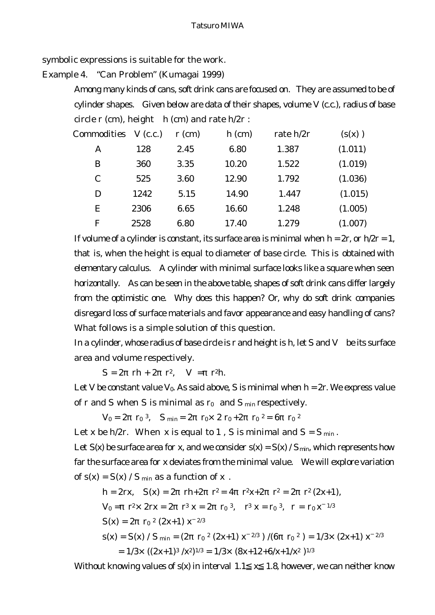symbolic expressions is suitable for the work.

Example 4. "Can Problem" (Kumagai 1999)

Among many kinds of cans, soft drink cans are focused on. They are assumed to be of cylinder shapes. Given below are data of their shapes, volume *V* (c.c.), radius of base circle *r* (cm), height *h* (cm) and rate *h/2r* :

| Commodities  | V(c.c.) | $r$ (cm) | $h$ (cm) | rate $h/2r$ | (s(x))  |
|--------------|---------|----------|----------|-------------|---------|
| A            | 128     | 2.45     | 6.80     | 1.387       | (1.011) |
| B            | 360     | 3.35     | 10.20    | 1.522       | (1.019) |
| $\mathcal C$ | 525     | 3.60     | 12.90    | 1.792       | (1.036) |
| D            | 1242    | 5.15     | 14.90    | 1.447       | (1.015) |
| Ε            | 2306    | 6.65     | 16.60    | 1.248       | (1.005) |
| $\mathbf F$  | 2528    | 6.80     | 17.40    | 1.279       | (1.007) |

If volume of a cylinder is constant, its surface area is minimal when  $h = 2r$ , or  $h/2r = 1$ , that is, when the height is equal to diameter of base circle. This is obtained with elementary calculus. A cylinder with minimal surface looks like a square when seen horizontally. As can be seen in the above table, shapes of soft drink cans differ largely from the optimistic one. Why does this happen? Or, why do soft drink companies disregard loss of surface materials and favor appearance and easy handling of cans? What follows is a simple solution of this question.

In a cylinder, whose radius of base circle is *r* and height is *h*, let *S* and *V* be its surface area and volume respectively.

 $S = 2$  *rh* + 2 *r*<sup>2</sup>*, V* = *r*<sup>2</sup>*h*.

Let *V* be constant value  $V_0$ . As said above, *S* is minimal when  $h = 2r$ . We express value of *r* and *S* when *S* is minimal as *r<sup>0</sup>* and *S min* respectively.

 $V_0 = 2 \quad r_0^3$ ,  $S_{\text{min}} = 2 \quad r_0 \times 2 \quad r_0 + 2 \quad r_0^2 = 6 \quad r_0^2$ 

Let *x* be  $h/2r$ . When *x* is equal to 1, *S* is minimal and  $S = S_{min}$ .

Let  $S(x)$  be surface area for x, and we consider  $s(x) = S(x) / S_{min}$ , which represents how far the surface area for *x* deviates from the minimal value. We will explore variation of  $s(x) = S(x) / S_{min}$  as a function of *x*.

$$
h = 2rx, \quad S(x) = 2 \quad rh + 2 \quad r^2 = 4 \quad r^2x + 2 \quad r^2 = 2 \quad r^2 (2x + 1),
$$
\n
$$
V_0 = r^2 \times 2rx = 2 \quad r^3 x = 2 \quad r_0^3, \quad r^3 x = r_0^3, \quad r = r_0 x^{1/3}
$$
\n
$$
S(x) = 2 \quad r_0^2 (2x + 1) x^{2/3}
$$
\n
$$
s(x) = S(x) / S_{\min} = (2 \quad r_0^2 (2x + 1) x^{2/3}) / (6 \quad r_0^2) = 1/3 \times (2x + 1) x^{2/3}
$$
\n
$$
= 1/3 \times ((2x + 1)^3 / x^2)^{1/3} = 1/3 \times (8x + 12 + 6/x + 1/x^2)^{1/3}
$$

Without knowing values of *s(x)* in interval *1.1 x 1.8*, however, we can neither know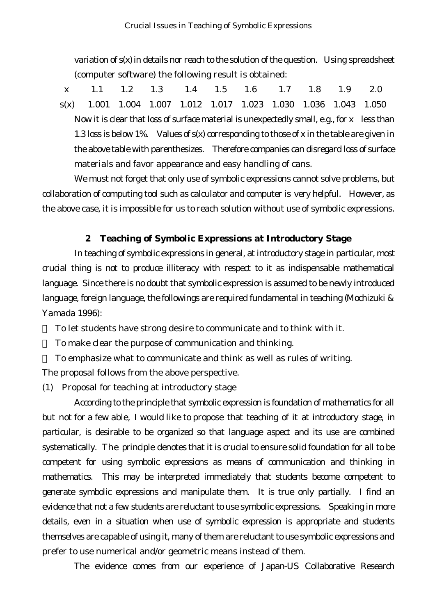variation of *s(x)* in details nor reach to the solution of the question. Using spreadsheet (computer software) the following result is obtained:

 *x* 1.1 1.2 1.3 1.4 1.5 1.6 1.7 1.8 1.9 2.0 *s(x)* 1.001 1.004 1.007 1.012 1.017 1.023 1.030 1.036 1.043 1.050 Now it is clear that loss of surface material is unexpectedly small, e.g., for *x* less than 1.3 loss is below 1%. Values of *s(x)* corresponding to those of *x* in the table are given in the above table with parenthesizes. Therefore companies can disregard loss of surface materials and favor appearance and easy handling of cans.

We must not forget that only use of symbolic expressions cannot solve problems, but collaboration of computing tool such as calculator and computer is very helpful. However, as the above case, it is impossible for us to reach solution without use of symbolic expressions.

# **2 Teaching of Symbolic Expressions at Introductory Stage**

In teaching of symbolic expressions in general, at introductory stage in particular, most crucial thing is not to produce illiteracy with respect to it as indispensable mathematical language. Since there is no doubt that symbolic expression is assumed to be newly introduced language, foreign language, the followings are required fundamental in teaching (Mochizuki & Yamada 1996):

To let students have strong desire to communicate and to think with it.

To make clear the purpose of communication and thinking.

To emphasize what to communicate and think as well as rules of writing. The proposal follows from the above perspective.

(1) Proposal for teaching at introductory stage

According to the principle that symbolic expression is foundation of mathematics for all but not for a few able, I would like to propose that teaching of it at introductory stage, in particular, is desirable to be organized so that language aspect and its use are combined systematically. The principle denotes that it is crucial to ensure solid foundation for all to be competent for using symbolic expressions as means of communication and thinking in mathematics. This may be interpreted immediately that students become competent to generate symbolic expressions and manipulate them. It is true only partially. I find an evidence that not a few students are reluctant to use symbolic expressions. Speaking in more details, even in a situation when use of symbolic expression is appropriate and students themselves are capable of using it, many of them are reluctant to use symbolic expressions and prefer to use numerical and/or geometric means instead of them.

The evidence comes from our experience of Japan-US Collaborative Research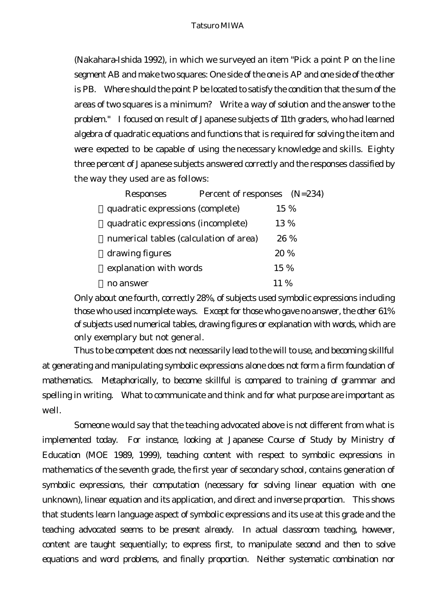(Nakahara-Ishida 1992), in which we surveyed an item "Pick a point P on the line segment AB and make two squares: One side of the one is AP and one side of the other is PB. Where should the point P be located to satisfy the condition that the sum of the areas of two squares is a minimum? Write a way of solution and the answer to the problem." I focused on result of Japanese subjects of 11th graders, who had learned algebra of quadratic equations and functions that is required for solving the item and were expected to be capable of using the necessary knowledge and skills. Eighty three percent of Japanese subjects answered correctly and the responses classified by the way they used are as follows:

| <b>Responses</b>                       | Percent of responses (N=234) |       |      |
|----------------------------------------|------------------------------|-------|------|
| quadratic expressions (complete)       |                              | 15 %  |      |
| quadratic expressions (incomplete)     |                              | 13 %  |      |
| numerical tables (calculation of area) |                              |       | 26 % |
| drawing figures                        |                              | 20 %  |      |
| explanation with words                 |                              | 15 %  |      |
| no answer                              |                              | 11 \% |      |

Only about one fourth, correctly 28%, of subjects used symbolic expressions including those who used incomplete ways. Except for those who gave no answer, the other 61% of subjects used numerical tables, drawing figures or explanation with words, which are only exemplary but not general.

Thus to be competent does not necessarily lead to the will to use, and becoming skillful at generating and manipulating symbolic expressions alone does not form a firm foundation of mathematics. Metaphorically, to become skillful is compared to training of grammar and spelling in writing. What to communicate and think and for what purpose are important as well.

Someone would say that the teaching advocated above is not different from what is implemented today. For instance, looking at Japanese Course of Study by Ministry of Education (MOE 1989, 1999), teaching content with respect to symbolic expressions in mathematics of the seventh grade, the first year of secondary school, contains generation of symbolic expressions, their computation (necessary for solving linear equation with one unknown), linear equation and its application, and direct and inverse proportion. This shows that students learn language aspect of symbolic expressions and its use at this grade and the teaching advocated seems to be present already. In actual classroom teaching, however, content are taught sequentially; to express first, to manipulate second and then to solve equations and word problems, and finally proportion. Neither systematic combination nor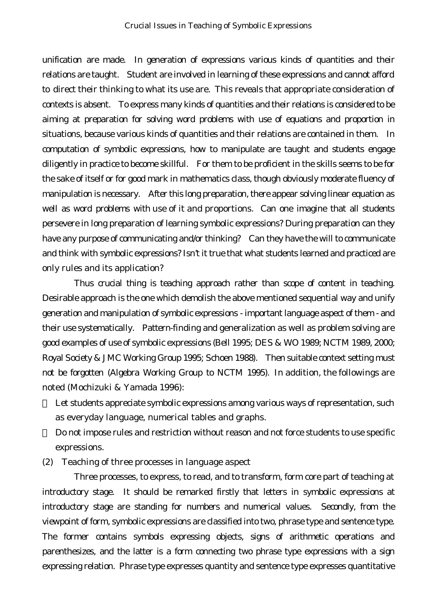unification are made. In generation of expressions various kinds of quantities and their relations are taught. Student are involved in learning of these expressions and cannot afford to direct their thinking to what its use are. This reveals that appropriate consideration of contexts is absent. To express many kinds of quantities and their relations is considered to be aiming at preparation for solving word problems with use of equations and proportion in situations, because various kinds of quantities and their relations are contained in them. In computation of symbolic expressions, how to manipulate are taught and students engage diligently in practice to become skillful. For them to be proficient in the skills seems to be for the sake of itself or for good mark in mathematics class, though obviously moderate fluency of manipulation is necessary. After this long preparation, there appear solving linear equation as well as word problems with use of it and proportions. Can one imagine that all students persevere in long preparation of learning symbolic expressions? During preparation can they have any purpose of communicating and/or thinking? Can they have the will to communicate and think with symbolic expressions? Isn't it true that what students learned and practiced are only rules and its application?

Thus crucial thing is teaching approach rather than scope of content in teaching. Desirable approach is the one which demolish the above mentioned sequential way and unify generation and manipulation of symbolic expressions - important language aspect of them - and their use systematically. Pattern-finding and generalization as well as problem solving are good examples of use of symbolic expressions (Bell 1995; DES & WO 1989; NCTM 1989, 2000; Royal Society & JMC Working Group 1995; Schoen 1988). Then suitable context setting must not be forgotten (Algebra Working Group to NCTM 1995). In addition, the followings are noted (Mochizuki & Yamada 1996):

Let students appreciate symbolic expressions among various ways of representation, such as everyday language, numerical tables and graphs.

Do not impose rules and restriction without reason and not force students to use specific expressions.

(2) Teaching of three processes in language aspect

Three processes, to express, to read, and to transform, form core part of teaching at introductory stage. It should be remarked firstly that letters in symbolic expressions at introductory stage are standing for numbers and numerical values. Secondly, from the viewpoint of form, symbolic expressions are classified into two, phrase type and sentence type. The former contains symbols expressing objects, signs of arithmetic operations and parenthesizes, and the latter is a form connecting two phrase type expressions with a sign expressing relation. Phrase type expresses quantity and sentence type expresses quantitative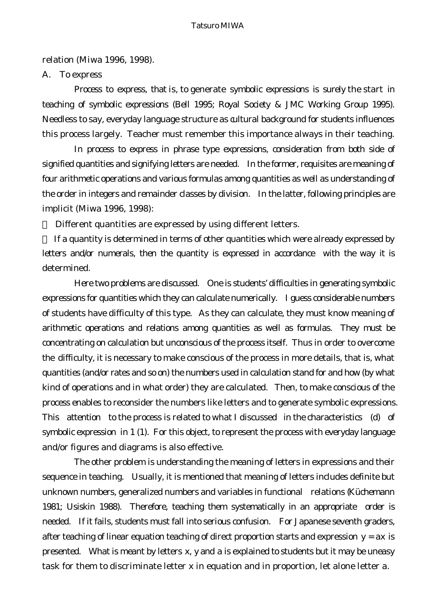#### relation (Miwa 1996, 1998).

#### A. To express

Process to express, that is, to generate symbolic expressions is surely the start in teaching of symbolic expressions (Bell 1995; Royal Society & JMC Working Group 1995). Needless to say, everyday language structure as cultural background for students influences this process largely. Teacher must remember this importance always in their teaching.

In process to express in phrase type expressions, consideration from both side of signified quantities and signifying letters are needed. In the former, requisites are meaning of four arithmetic operations and various formulas among quantities as well as understanding of the order in integers and remainder classes by division. In the latter, following principles are implicit (Miwa 1996, 1998):

Different quantities are expressed by using different letters.

If a quantity is determined in terms of other quantities which were already expressed by letters and/or numerals, then the quantity is expressed in accordance with the way it is determined.

Here two problems are discussed. One is students' difficulties in generating symbolic expressions for quantities which they can calculate numerically. I guess considerable numbers of students have difficulty of this type. As they can calculate, they must know meaning of arithmetic operations and relations among quantities as well as formulas. They must be concentrating on calculation but unconscious of the process itself. Thus in order to overcome the difficulty, it is necessary to make conscious of the process in more details, that is, what quantities (and/or rates and so on) the numbers used in calculation stand for and how (by what kind of operations and in what order) they are calculated. Then, to make conscious of the process enables to reconsider the numbers like letters and to generate symbolic expressions. This attention to the process is related to what I discussed in the characteristics (d) of symbolic expression in 1 (1). For this object, to represent the process with everyday language and/or figures and diagrams is also effective.

The other problem is understanding the meaning of letters in expressions and their sequence in teaching. Usually, it is mentioned that meaning of letters includes definite but unknown numbers, generalized numbers and variables in functional relations (Küchemann 1981; Usiskin 1988). Therefore, teaching them systematically in an appropriate order is needed. If it fails, students must fall into serious confusion. For Japanese seventh graders, after teaching of linear equation teaching of direct proportion starts and expression *y = ax* is presented. What is meant by letters *x, y* and *a* is explained to students but it may be uneasy task for them to discriminate letter *x* in equation and in proportion, let alone letter *a*.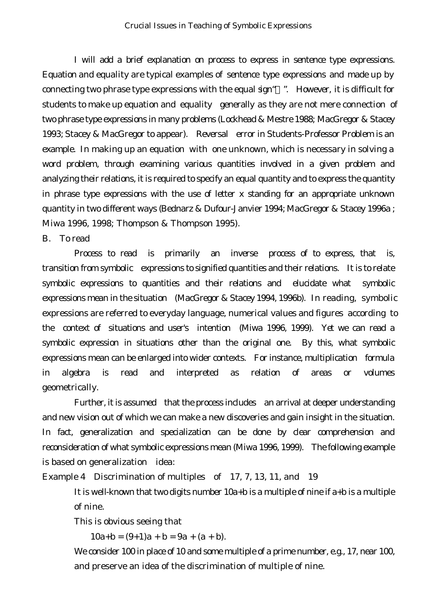I will add a brief explanation on process to express in sentence type expressions. Equation and equality are typical examples of sentence type expressions and made up by connecting two phrase type expressions with the equal sign" ". However, it is difficult for students to make up equation and equality generally as they are not mere connection of two phrase type expressions in many problems (Lockhead & Mestre 1988; MacGregor & Stacey 1993; Stacey & MacGregor to appear). Reversal error in Students-Professor Problem is an example. In making up an equation with one unknown, which is necessary in solving a word problem, through examining various quantities involved in a given problem and analyzing their relations, it is required to specify an equal quantity and to express the quantity in phrase type expressions with the use of letter *x* standing for an appropriate unknown quantity in two different ways (Bednarz & Dufour-Janvier 1994; MacGregor & Stacey 1996a ; Miwa 1996, 1998; Thompson & Thompson 1995).

#### B. To read

Process to read is primarily an inverse process of to express, that is, transition from symbolic expressions to signified quantities and their relations. It is to relate symbolic expressions to quantities and their relations and elucidate what symbolic expressions mean in the situation (MacGregor & Stacey 1994, 1996b). In reading, symbolic expressions are referred to everyday language, numerical values and figures according to the context of situations and user's intention (Miwa 1996, 1999). Yet we can read a symbolic expression in situations other than the original one. By this, what symbolic expressions mean can be enlarged into wider contexts. For instance, multiplication formula in algebra is read and interpreted as relation of areas or volumes geometrically.

Further, it is assumed that the process includes an arrival at deeper understanding and new vision out of which we can make a new discoveries and gain insight in the situation. In fact, generalization and specialization can be done by clear comprehension and reconsideration of what symbolic expressions mean (Miwa 1996, 1999). The following example is based on generalization idea:

Example 4 Discrimination of multiples of 17, 7, 13, 11, and 19

It is well-known that two digits number *10a+b* is a multiple of nine if *a+b* is a multiple of nine.

This is obvious seeing that

*10a+b = (9+1)a + b = 9a + (a + b)*.

We consider 100 in place of 10 and some multiple of a prime number, e.g., 17, near 100, and preserve an idea of the discrimination of multiple of nine.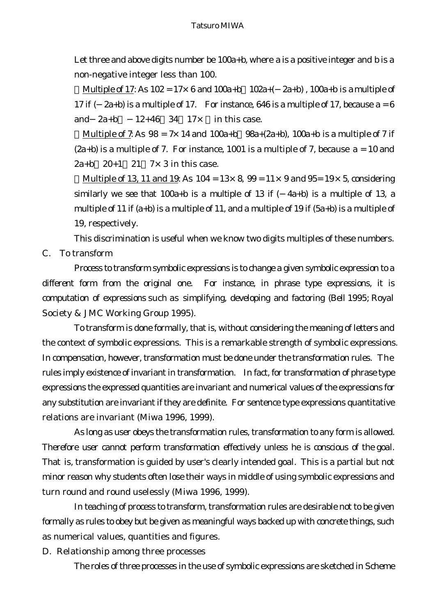Let three and above digits number be *100a+b*, where *a* is a positive integer and *b* is a non-negative integer less than 100.

Multiple of 17: As *102 = 17*×*6 and 100a+b 102a+( 2a+b) , 100a+b is a* multiple of 17 if  $(2a+b)$  is a multiple of 17. For instance, 646 is a multiple of 17, because  $a = 6$ *and*  $2a+b$   $12+46$   $34$   $17x$  in this case.

Multiple of 7: As *98 = 7*×*14* and *100a+b 98a+(2a+b)*, *100a+b* is a multiple of 7 if *(2a+b)* is a multiple of 7. For instance, 1001 is a multiple of 7, because *a = 10* and *2a+b 20+1 21 7*×*3* in this case.

Multiple of 13, 11 and 19: As *104 = 13*×*8*, *99 = 11*×*9* and *95= 19*×*5,* considering similarly we see that *100a+b* is a multiple of 13 if *( 4a+b)* is a multiple of 13, a multiple of 11 if *(a+b)* is a multiple of 11, and a multiple of 19 if *(5a+b)* is a multiple of 19, respectively.

This discrimination is useful when we know two digits multiples of these numbers. C. To transform

Process to transform symbolic expressions is to change a given symbolic expression to a different form from the original one. For instance, in phrase type expressions, it is computation of expressions such as simplifying, developing and factoring (Bell 1995; Royal Society & JMC Working Group 1995).

To transform is done formally, that is, without considering the meaning of letters and the context of symbolic expressions. This is a remarkable strength of symbolic expressions. In compensation, however, transformation must be done under the transformation rules. The rules imply existence of invariant in transformation. In fact, for transformation of phrase type expressions the expressed quantities are invariant and numerical values of the expressions for any substitution are invariant if they are definite. For sentence type expressions quantitative relations are invariant (Miwa 1996, 1999).

As long as user obeys the transformation rules, transformation to any form is allowed. Therefore user cannot perform transformation effectively unless he is conscious of the goal. That is, transformation is guided by user's clearly intended goal. This is a partial but not minor reason why students often lose their ways in middle of using symbolic expressions and turn round and round uselessly (Miwa 1996, 1999).

In teaching of process to transform, transformation rules are desirable not to be given formally as rules to obey but be given as meaningful ways backed up with concrete things, such as numerical values, quantities and figures.

D. Relationship among three processes

The roles of three processes in the use of symbolic expressions are sketched in Scheme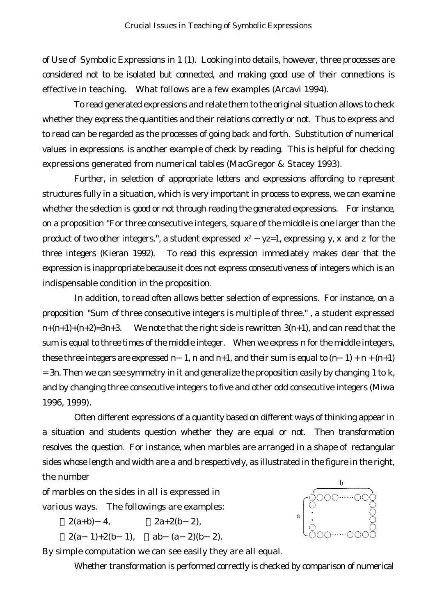of Use of Symbolic Expressions in 1 (1). Looking into details, however, three processes are considered not to be isolated but connected, and making good use of their connections is effective in teaching. What follows are a few examples (Arcavi 1994).

To read generated expressions and relate them to the original situation allows to check whether they express the quantities and their relations correctly or not. Thus to express and to read can be regarded as the processes of going back and forth. Substitution of numerical values in expressions is another example of check by reading. This is helpful for checking expressions generated from numerical tables (MacGregor & Stacey 1993).

Further, in selection of appropriate letters and expressions affording to represent structures fully in a situation, which is very important in process to express, we can examine whether the selection is good or not through reading the generated expressions. For instance, on a proposition "For three consecutive integers, square of the middle is one larger than the product of two other integers.", a student expressed *x2 yz=1*, expressing *y, x* and *z* for the three integers (Kieran 1992). To read this expression immediately makes clear that the expression is inappropriate because it does not express consecutiveness of integers which is an indispensable condition in the proposition.

In addition, to read often allows better selection of expressions. For instance, on a proposition "Sum of three consecutive integers is multiple of three." , a student expressed *n+(n+1)+(n+2)=3n+3.* We note that the right side is rewritten *3(n+1)*, and can read that the sum is equal to three times of the middle integer. When we express *n* for the middle integers*,* these three integers are expressed *n* 1, *n* and  $n+1$ , and their sum is equal to  $(n \ 1) + n + (n+1)$ *= 3n*. Then we can see symmetry in it and generalize the proposition easily by changing *1* to *k*, and by changing three consecutive integers to five and other odd consecutive integers (Miwa 1996, 1999).

Often different expressions of a quantity based on different ways of thinking appear in a situation and students question whether they are equal or not. Then transformation resolves the question. For instance, when marbles are arranged in a shape of rectangular sides whose length and width are *a* and *b* respectively, as illustrated in the figure in the right, the number

of marbles on the sides in all is expressed in various ways. The followings are examples:

> *2(a+b) 4, 2a+2(b 2), 2(a 1)+2(b 1), ab (a 2)(b 2)*.

By simple computation we can see easily they are all equal.

Whether transformation is performed correctly is checked by comparison of numerical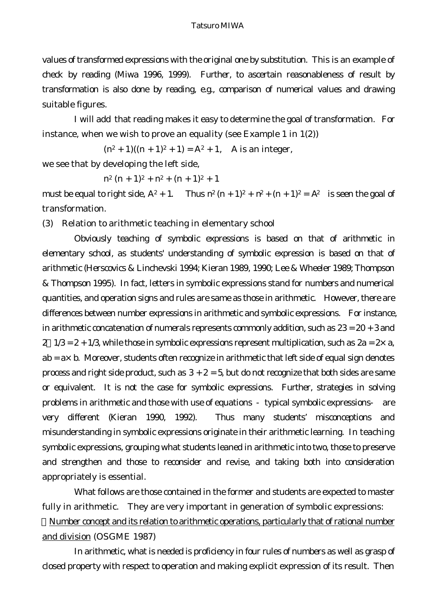values of transformed expressions with the original one by substitution. This is an example of check by reading (Miwa 1996, 1999). Further, to ascertain reasonableness of result by transformation is also done by reading, e.g., comparison of numerical values and drawing suitable figures.

I will add that reading makes it easy to determine the goal of transformation. For instance, when we wish to prove an equality (see Example 1 in 1(2))

 $(n^2 + 1)((n + 1)^2 + 1) = A^2 + 1$ , A is an integer,

we see that by developing the left side,

 $n^2 (n+1)^2 + n^2 + (n+1)^2 + 1$ 

must be equal to right side,  $A^2 + 1$ . Thus  $n^2 (n + 1)^2 + n^2 + (n + 1)^2 = A^2$  is seen the goal of transformation.

(3) Relation to arithmetic teaching in elementary school

Obviously teaching of symbolic expressions is based on that of arithmetic in elementary school, as students' understanding of symbolic expression is based on that of arithmetic (Herscovics & Linchevski 1994; Kieran 1989, 1990; Lee & Wheeler 1989; Thompson & Thompson 1995). In fact, letters in symbolic expressions stand for numbers and numerical quantities, and operation signs and rules are same as those in arithmetic. However, there are differences between number expressions in arithmetic and symbolic expressions. For instance, in arithmetic concatenation of numerals represents commonly addition, such as *23 = 20 + 3* and *2 1/3 = 2 + 1/3*, while those in symbolic expressions represent multiplication, such as *2a = 2*×*a, ab = a*×*b*. Moreover, students often recognize in arithmetic that left side of equal sign denotes process and right side product, such as  $3 + 2 = 5$ , but do not recognize that both sides are same or equivalent. It is not the case for symbolic expressions. Further, strategies in solving problems in arithmetic and those with use of equations typical symbolic expressions are very different (Kieran 1990, 1992). Thus many students' misconceptions and misunderstanding in symbolic expressions originate in their arithmetic learning. In teaching symbolic expressions, grouping what students leaned in arithmetic into two, those to preserve and strengthen and those to reconsider and revise, and taking both into consideration appropriately is essential.

What follows are those contained in the former and students are expected to master fully in arithmetic. They are very important in generation of symbolic expressions:

Number concept and its relation to arithmetic operations, particularly that of rational number and division (OSGME 1987)

In arithmetic, what is needed is proficiency in four rules of numbers as well as grasp of closed property with respect to operation and making explicit expression of its result. Then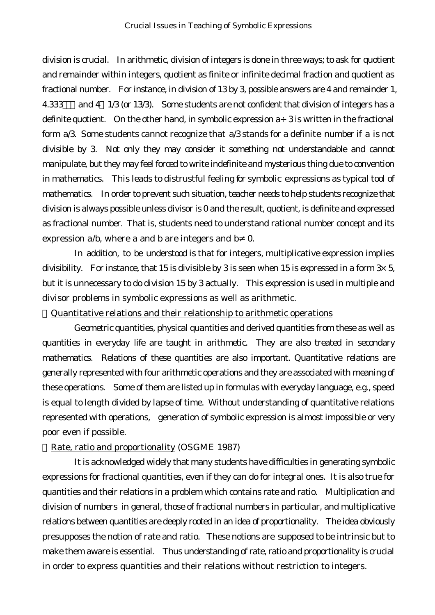division is crucial. In arithmetic, division of integers is done in three ways; to ask for quotient and remainder within integers, quotient as finite or infinite decimal fraction and quotient as fractional number. For instance, in division of 13 by 3, possible answers are 4 and remainder 1, 4.333 and 4  $1/3$  (or 13/3). Some students are not confident that division of integers has a definite quotient. On the other hand, in symbolic expression *a*÷*3* is written in the fractional form *a/3*. Some students cannot recognize that *a/3* stands for a definite number if *a* is not divisible by 3. Not only they may consider it something not understandable and cannot manipulate, but they may feel forced to write indefinite and mysterious thing due to convention in mathematics. This leads to distrustful feeling for symbolic expressions as typical tool of mathematics. In order to prevent such situation, teacher needs to help students recognize that division is always possible unless divisor is 0 and the result, quotient, is definite and expressed as fractional number. That is, students need to understand rational number concept and its expression *a/b*, where *a* and *b* are integers and *b* 0.

In addition, to be understood is that for integers, multiplicative expression implies divisibility. For instance, that 15 is divisible by 3 is seen when 15 is expressed in a form  $3\times 5$ , but it is unnecessary to do division 15 by 3 actually. This expression is used in multiple and divisor problems in symbolic expressions as well as arithmetic.

Quantitative relations and their relationship to arithmetic operations

Geometric quantities, physical quantities and derived quantities from these as well as quantities in everyday life are taught in arithmetic. They are also treated in secondary mathematics. Relations of these quantities are also important. Quantitative relations are generally represented with four arithmetic operations and they are associated with meaning of these operations. Some of them are listed up in formulas with everyday language, e.g., speed is equal to length divided by lapse of time. Without understanding of quantitative relations represented with operations, generation of symbolic expression is almost impossible or very poor even if possible.

#### Rate, ratio and proportionality (OSGME 1987)

It is acknowledged widely that many students have difficulties in generating symbolic expressions for fractional quantities, even if they can do for integral ones. It is also true for quantities and their relations in a problem which contains rate and ratio. Multiplication and division of numbers in general, those of fractional numbers in particular, and multiplicative relations between quantities are deeply rooted in an idea of proportionality. The idea obviously presupposes the notion of rate and ratio. These notions are supposed to be intrinsic but to make them aware is essential. Thus understanding of rate, ratio and proportionality is crucial in order to express quantities and their relations without restriction to integers.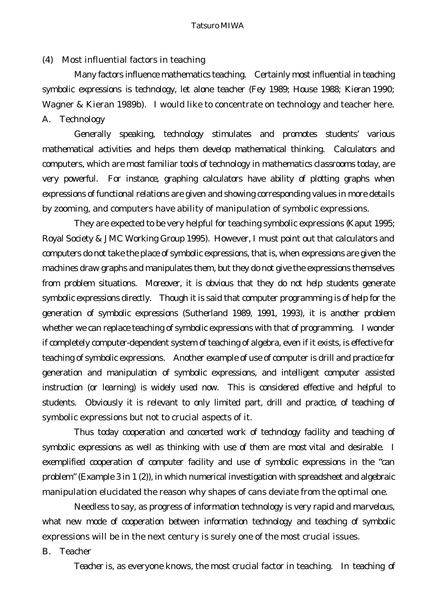### (4) Most influential factors in teaching

Many factors influence mathematics teaching. Certainly most influential in teaching symbolic expressions is technology, let alone teacher (Fey 1989; House 1988; Kieran 1990; Wagner & Kieran 1989b). I would like to concentrate on technology and teacher here. A. Technology

Generally speaking, technology stimulates and promotes students' various mathematical activities and helps them develop mathematical thinking. Calculators and computers, which are most familiar tools of technology in mathematics classrooms today, are very powerful. For instance, graphing calculators have ability of plotting graphs when expressions of functional relations are given and showing corresponding values in more details by zooming, and computers have ability of manipulation of symbolic expressions.

They are expected to be very helpful for teaching symbolic expressions (Kaput 1995; Royal Society & JMC Working Group 1995). However, I must point out that calculators and computers do not take the place of symbolic expressions, that is, when expressions are given the machines draw graphs and manipulates them, but they do not give the expressions themselves from problem situations. Moreover, it is obvious that they do not help students generate symbolic expressions directly. Though it is said that computer programming is of help for the generation of symbolic expressions (Sutherland 1989, 1991, 1993), it is another problem whether we can replace teaching of symbolic expressions with that of programming. I wonder if completely computer-dependent system of teaching of algebra, even if it exists, is effective for teaching of symbolic expressions. Another example of use of computer is drill and practice for generation and manipulation of symbolic expressions, and intelligent computer assisted instruction (or learning) is widely used now. This is considered effective and helpful to students. Obviously it is relevant to only limited part, drill and practice, of teaching of symbolic expressions but not to crucial aspects of it.

Thus today cooperation and concerted work of technology facility and teaching of symbolic expressions as well as thinking with use of them are most vital and desirable. I exemplified cooperation of computer facility and use of symbolic expressions in the "can problem" (Example 3 in 1 (2)), in which numerical investigation with spreadsheet and algebraic manipulation elucidated the reason why shapes of cans deviate from the optimal one.

Needless to say, as progress of information technology is very rapid and marvelous, what new mode of cooperation between information technology and teaching of symbolic expressions will be in the next century is surely one of the most crucial issues.

#### B. Teacher

Teacher is, as everyone knows, the most crucial factor in teaching. In teaching of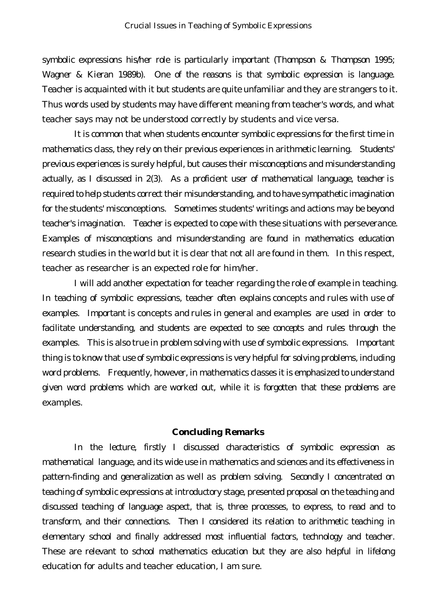symbolic expressions his/her role is particularly important (Thompson & Thompson 1995; Wagner & Kieran 1989b). One of the reasons is that symbolic expression is language. Teacher is acquainted with it but students are quite unfamiliar and they are strangers to it. Thus words used by students may have different meaning from teacher's words, and what teacher says may not be understood correctly by students and vice versa.

It is common that when students encounter symbolic expressions for the first time in mathematics class, they rely on their previous experiences in arithmetic learning. Students' previous experiences is surely helpful, but causes their misconceptions and misunderstanding actually, as I discussed in 2(3). As a proficient user of mathematical language, teacher is required to help students correct their misunderstanding, and to have sympathetic imagination for the students' misconceptions. Sometimes students' writings and actions may be beyond teacher's imagination. Teacher is expected to cope with these situations with perseverance. Examples of misconceptions and misunderstanding are found in mathematics education research studies in the world but it is clear that not all are found in them. In this respect, teacher as researcher is an expected role for him/her.

I will add another expectation for teacher regarding the role of example in teaching. In teaching of symbolic expressions, teacher often explains concepts and rules with use of examples. Important is concepts and rules in general and examples are used in order to facilitate understanding, and students are expected to see concepts and rules through the examples. This is also true in problem solving with use of symbolic expressions. Important thing is to know that use of symbolic expressions is very helpful for solving problems, including word problems. Frequently, however, in mathematics classes it is emphasized to understand given word problems which are worked out, while it is forgotten that these problems are examples.

#### **Concluding Remarks**

In the lecture, firstly I discussed characteristics of symbolic expression as mathematical language, and its wide use in mathematics and sciences and its effectiveness in pattern-finding and generalization as well as problem solving. Secondly I concentrated on teaching of symbolic expressions at introductory stage, presented proposal on the teaching and discussed teaching of language aspect, that is, three processes, to express, to read and to transform, and their connections. Then I considered its relation to arithmetic teaching in elementary school and finally addressed most influential factors, technology and teacher. These are relevant to school mathematics education but they are also helpful in lifelong education for adults and teacher education, I am sure.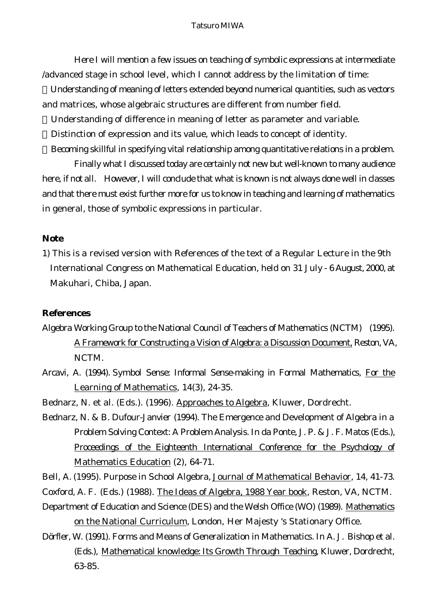Here I will mention a few issues on teaching of symbolic expressions at intermediate /advanced stage in school level, which I cannot address by the limitation of time:

Understanding of meaning of letters extended beyond numerical quantities, such as vectors and matrices, whose algebraic structures are different from number field.

Understanding of difference in meaning of letter as parameter and variable.

Distinction of expression and its value, which leads to concept of identity.

Becoming skillful in specifying vital relationship among quantitative relations in a problem.

Finally what I discussed today are certainly not new but well-known to many audience here, if not all. However, I will conclude that what is known is not always done well in classes and that there must exist further more for us to know in teaching and learning of mathematics in general, those of symbolic expressions in particular.

# **Note**

1) This is a revised version with References of the text of a Regular Lecture in the 9th International Congress on Mathematical Education, held on 31 July - 6 August, 2000, at Makuhari, Chiba, Japan.

# **References**

- Algebra Working Group to the National Council of Teachers of Mathematics (NCTM) (1995). A Framework for Constructing a Vision of Algebra: a Discussion Document, Reston, VA, NCTM.
- Arcavi, A. (1994). Symbol Sense: Informal Sense-making in Formal Mathematics, For the Learning of Mathematics, 14(3), 24-35.
- Bednarz, N. et al. (Eds.). (1996). Approaches to Algebra, Kluwer, Dordrecht.
- Bednarz, N. & B. Dufour-Janvier (1994). The Emergence and Development of Algebra in a Problem Solving Context: A Problem Analysis. In da Ponte, J. P. & J. F. Matos (Eds.), Proceedings of the Eighteenth International Conference for the Psychology of Mathematics Education (2), 64-71.

Bell, A. (1995). Purpose in School Algebra, Journal of Mathematical Behavior, 14, 41-73.

Coxford, A. F. (Eds.) (1988). The Ideas of Algebra, 1988 Year book, Reston, VA, NCTM.

- Department of Education and Science (DES) and the Welsh Office (WO) (1989). Mathematics on the National Curriculum, London, Her Majesty 's Stationary Office.
- Dörfler, W. (1991). Forms and Means of Generalization in Mathematics. In A. J. Bishop et al. (Eds.), Mathematical knowledge: Its Growth Through Teaching, Kluwer, Dordrecht, 63-85.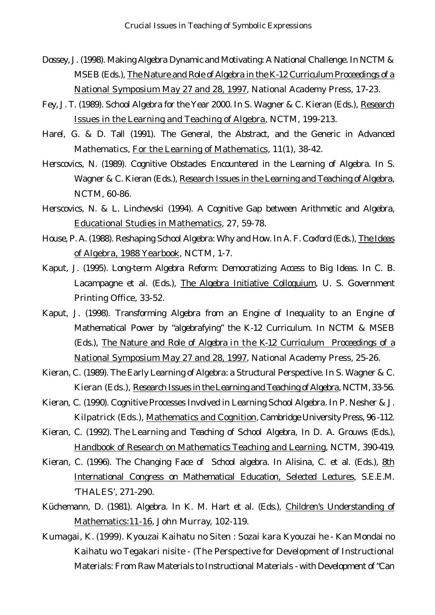- Dossey, J. (1998). Making Algebra Dynamic and Motivating: A National Challenge. In NCTM & MSEB (Eds.), The Nature and Role of Algebra in the K-12 Curriculum Proceedings of a National Symposium May 27 and 28, 1997, National Academy Press, 17-23.
- Fey, J. T. (1989). School Algebra for the Year 2000. In S. Wagner & C. Kieran (Eds.), Research Issues in the Learning and Teaching of Algebra, NCTM, 199-213.
- Harel, G. & D. Tall (1991). The General, the Abstract, and the Generic in Advanced Mathematics, For the Learning of Mathematics, 11(1), 38-42.
- Herscovics, N. (1989). Cognitive Obstacles Encountered in the Learning of Algebra. In S. Wagner & C. Kieran (Eds.), Research Issues in the Learning and Teaching of Algebra, NCTM, 60-86.
- Herscovics, N. & L. Linchevski (1994). A Cognitive Gap between Arithmetic and Algebra, Educational Studies in Mathematics, 27, 59-78.
- House, P. A. (1988). Reshaping School Algebra: Why and How. In A. F. Coxford (Eds.), The Ideas of Algebra, 1988 Yearbook, NCTM, 1-7.
- Kaput, J. (1995). Long-term Algebra Reform: Democratizing Access to Big Ideas. In C. B. Lacampagne et al. (Eds.), The Algebra Initiative Colloquium, U. S. Government Printing Office, 33-52.
- Kaput, J. (1998). Transforming Algebra from an Engine of Inequality to an Engine of Mathematical Power by "algebrafying" the K-12 Curriculum. In NCTM & MSEB (Eds.), The Nature and Role of Algebra in the K-12 Curriculum Proceedings of a National Symposium May 27 and 28, 1997, National Academy Press, 25-26.
- Kieran, C. (1989). The Early Learning of Algebra: a Structural Perspective. In S. Wagner & C. Kieran (Eds.), Research Issues in the Learning and Teaching of Algebra, NCTM, 33-56.
- Kieran, C. (1990). Cognitive Processes Involved in Learning School Algebra. In P. Nesher & J. Kilpatrick (Eds.), Mathematics and Cognition, Cambridge University Press, 96 -112.
- Kieran, C. (1992). The Learning and Teaching of School Algebra, In D. A. Grouws (Eds.), Handbook of Research on Mathematics Teaching and Learning, NCTM, 390-419.
- Kieran, C. (1996). The Changing Face of School algebra. In Alisina, C. et al. (Eds.), 8th International Congress on Mathematical Education, Selected Lectures, S.E.E.M. 'THALES', 271-290.
- Küchemann, D. (1981). Algebra. In K. M. Hart et al. (Eds.), Children's Understanding of Mathematics:11-16, John Murray, 102-119.
- Kumagai, K. (1999). Kyouzai Kaihatu no Siten : Sozai kara Kyouzai he Kan Mondai no Kaihatu wo Tegakari nisite - (The Perspective for Development of Instructional Materials: From Raw Materials to Instructional Materials - with Development of "Can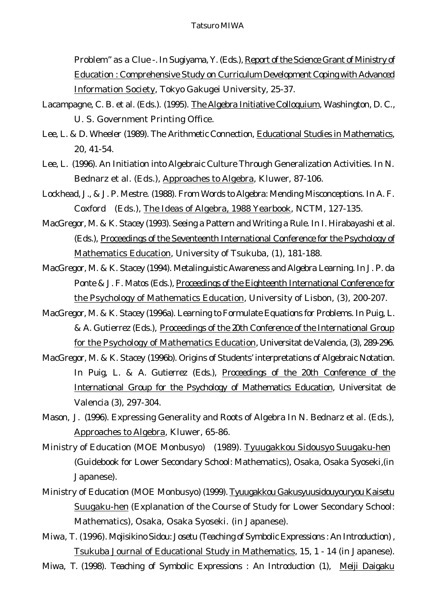Problem" as a Clue -. In Sugiyama, Y. (Eds.), Report of the Science Grant of Ministry of Education : Comprehensive Study on Curriculum Development Coping with Advanced Information Society, Tokyo Gakugei University, 25-37.

- Lacampagne, C. B. et al. (Eds.). (1995). The Algebra Initiative Colloquium, Washington, D. C., U. S. Government Printing Office.
- Lee, L. & D. Wheeler (1989). The Arithmetic Connection, Educational Studies in Mathematics, 20, 41-54.
- Lee, L. (1996). An Initiation into Algebraic Culture Through Generalization Activities. In N. Bednarz et al. (Eds.), Approaches to Algebra, Kluwer, 87-106.
- Lockhead, J., & J. P. Mestre. (1988). From Words to Algebra: Mending Misconceptions. In A. F. Coxford (Eds.), The Ideas of Algebra, 1988 Yearbook, NCTM, 127-135.
- MacGregor, M. & K. Stacey (1993). Seeing a Pattern and Writing a Rule. In I. Hirabayashi et al. (Eds.), Proceedings of the Seventeenth International Conference for the Psychology of Mathematics Education, University of Tsukuba, (1), 181-188.
- MacGregor, M. & K. Stacey (1994). Metalinguistic Awareness and Algebra Learning. In J. P. da Ponte & J. F. Matos (Eds.), Proceedings of the Eighteenth International Conference for the Psychology of Mathematics Education, University of Lisbon, (3), 200-207.
- MacGregor, M. & K. Stacey (1996a). Learning to Formulate Equations for Problems. In Puig, L. & A. Gutierrez (Eds.), Proceedings of the 20th Conference of the International Group for the Psychology of Mathematics Education, Universitat de Valencia, (3), 289-296.
- MacGregor, M. & K. Stacey (1996b). Origins of Students' interpretations of Algebraic Notation. In Puig, L. & A. Gutierrez (Eds.), Proceedings of the 20th Conference of the International Group for the Psychology of Mathematics Education, Universitat de Valencia (3), 297-304.
- Mason, J. (1996). Expressing Generality and Roots of Algebra In N. Bednarz et al. (Eds.), Approaches to Algebra, Kluwer, 65-86.
- Ministry of Education (MOE Monbusyo) (1989). Tyuugakkou Sidousyo Suugaku-hen (Guidebook for Lower Secondary School: Mathematics), Osaka, Osaka Syoseki,(in Japanese).
- Ministry of Education (MOE Monbusyo) (1999). Tyuugakkou Gakusyuusidouyouryou Kaisetu Suugaku-hen (Explanation of the Course of Study for Lower Secondary School: Mathematics), Osaka, Osaka Syoseki. (in Japanese).
- Miwa, T. (1996). Mojisikino Sidou: Josetu (Teaching of Symbolic Expressions : An Introduction) , Tsukuba Journal of Educational Study in Mathematics, 15, 1 - 14 (in Japanese).
- Miwa, T. (1998). Teaching of Symbolic Expressions : An Introduction (1), Meiji Daigaku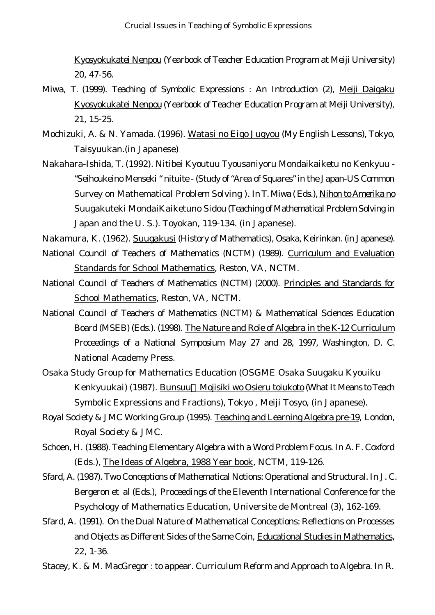Kyosyokukatei Nenpou (Yearbook of Teacher Education Program at Meiji University) 20, 47-56.

- Miwa, T. (1999). Teaching of Symbolic Expressions : An Introduction (2), Meiji Daigaku Kyosyokukatei Nenpou (Yearbook of Teacher Education Program at Meiji University), 21, 15-25.
- Mochizuki, A. & N. Yamada. (1996). Watasi no Eigo Jugyou (My English Lessons), Tokyo, Taisyuukan.(in Japanese)
- Nakahara-Ishida, T. (1992). Nitibei Kyoutuu Tyousaniyoru Mondaikaiketu no Kenkyuu "Seihoukeino Menseki " nituite - (Study of "Area of Squares" in the Japan-US Common Survey on Mathematical Problem Solving ). In T. Miwa ( Eds.), Nihon to Amerika no Suugakuteki MondaiKaiketuno Sidou (Teaching of Mathematical Problem Solving in Japan and the U. S.). Toyokan, 119-134. (in Japanese).

Nakamura, K. (1962). Suugakusi (History of Mathematics), Osaka, Keirinkan. (in Japanese).

- National Council of Teachers of Mathematics (NCTM) (1989). Curriculum and Evaluation Standards for School Mathematics, Reston, VA, NCTM.
- National Council of Teachers of Mathematics (NCTM) (2000). Principles and Standards for School Mathematics, Reston, VA, NCTM.
- National Council of Teachers of Mathematics (NCTM) & Mathematical Sciences Education Board (MSEB) (Eds.). (1998). The Nature and Role of Algebra in the K-12 Curriculum Proceedings of a National Symposium May 27 and 28, 1997, Washington, D. C. National Academy Press.
- Osaka Study Group for Mathematics Education (OSGME Osaka Suugaku Kyouiku Kenkyuukai) (1987). Bunsuu Mojisiki wo Osieru toiukoto (What It Means to Teach Symbolic Expressions and Fractions), Tokyo , Meiji Tosyo, (in Japanese).
- Royal Society & JMC Working Group (1995). Teaching and Learning Algebra pre-19, London, Royal Society & JMC.
- Schoen, H. (1988). Teaching Elementary Algebra with a Word Problem Focus. In A. F. Coxford (Eds.), The Ideas of Algebra, 1988 Year book, NCTM, 119-126.
- Sfard, A. (1987). Two Conceptions of Mathematical Notions: Operational and Structural. In J. C. Bergeron et al (Eds.), Proceedings of the Eleventh International Conference for the Psychology of Mathematics Education, Universite de Montreal (3), 162-169.
- Sfard, A. (1991). On the Dual Nature of Mathematical Conceptions: Reflections on Processes and Objects as Different Sides of the Same Coin, Educational Studies in Mathematics, 22, 1-36.
- Stacey, K. & M. MacGregor : to appear. Curriculum Reform and Approach to Algebra. In R.